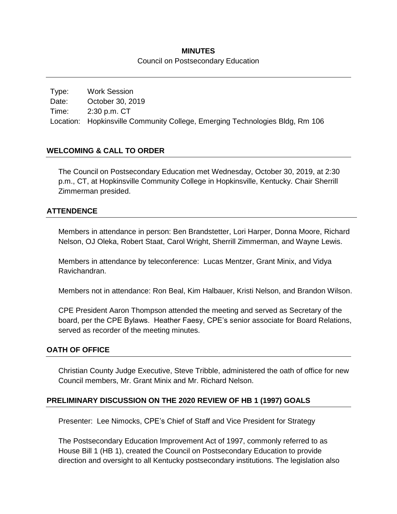## **MINUTES** Council on Postsecondary Education

Type: Work Session Date: October 30, 2019 Time: 2:30 p.m. CT Location: Hopkinsville Community College, Emerging Technologies Bldg, Rm 106

### **WELCOMING & CALL TO ORDER**

The Council on Postsecondary Education met Wednesday, October 30, 2019, at 2:30 p.m., CT, at Hopkinsville Community College in Hopkinsville, Kentucky. Chair Sherrill Zimmerman presided.

#### **ATTENDENCE**

Members in attendance in person: Ben Brandstetter, Lori Harper, Donna Moore, Richard Nelson, OJ Oleka, Robert Staat, Carol Wright, Sherrill Zimmerman, and Wayne Lewis.

Members in attendance by teleconference: Lucas Mentzer, Grant Minix, and Vidya Ravichandran.

Members not in attendance: Ron Beal, Kim Halbauer, Kristi Nelson, and Brandon Wilson.

CPE President Aaron Thompson attended the meeting and served as Secretary of the board, per the CPE Bylaws. Heather Faesy, CPE's senior associate for Board Relations, served as recorder of the meeting minutes.

#### **OATH OF OFFICE**

Christian County Judge Executive, Steve Tribble, administered the oath of office for new Council members, Mr. Grant Minix and Mr. Richard Nelson.

#### **PRELIMINARY DISCUSSION ON THE 2020 REVIEW OF HB 1 (1997) GOALS**

Presenter: Lee Nimocks, CPE's Chief of Staff and Vice President for Strategy

The Postsecondary Education Improvement Act of 1997, commonly referred to as House Bill 1 (HB 1), created the Council on Postsecondary Education to provide direction and oversight to all Kentucky postsecondary institutions. The legislation also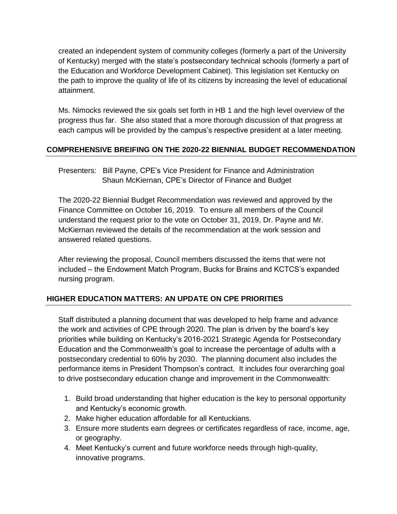created an independent system of community colleges (formerly a part of the University of Kentucky) merged with the state's postsecondary technical schools (formerly a part of the Education and Workforce Development Cabinet). This legislation set Kentucky on the path to improve the quality of life of its citizens by increasing the level of educational attainment.

Ms. Nimocks reviewed the six goals set forth in HB 1 and the high level overview of the progress thus far. She also stated that a more thorough discussion of that progress at each campus will be provided by the campus's respective president at a later meeting.

# **COMPREHENSIVE BREIFING ON THE 2020-22 BIENNIAL BUDGET RECOMMENDATION**

Presenters: Bill Payne, CPE's Vice President for Finance and Administration Shaun McKiernan, CPE's Director of Finance and Budget

The 2020-22 Biennial Budget Recommendation was reviewed and approved by the Finance Committee on October 16, 2019. To ensure all members of the Council understand the request prior to the vote on October 31, 2019, Dr. Payne and Mr. McKiernan reviewed the details of the recommendation at the work session and answered related questions.

After reviewing the proposal, Council members discussed the items that were not included – the Endowment Match Program, Bucks for Brains and KCTCS's expanded nursing program.

# **HIGHER EDUCATION MATTERS: AN UPDATE ON CPE PRIORITIES**

Staff distributed a planning document that was developed to help frame and advance the work and activities of CPE through 2020. The plan is driven by the board's key priorities while building on Kentucky's 2016-2021 Strategic Agenda for Postsecondary Education and the Commonwealth's goal to increase the percentage of adults with a postsecondary credential to 60% by 2030. The planning document also includes the performance items in President Thompson's contract. It includes four overarching goal to drive postsecondary education change and improvement in the Commonwealth:

- 1. Build broad understanding that higher education is the key to personal opportunity and Kentucky's economic growth.
- 2. Make higher education affordable for all Kentuckians.
- 3. Ensure more students earn degrees or certificates regardless of race, income, age, or geography.
- 4. Meet Kentucky's current and future workforce needs through high-quality, innovative programs.